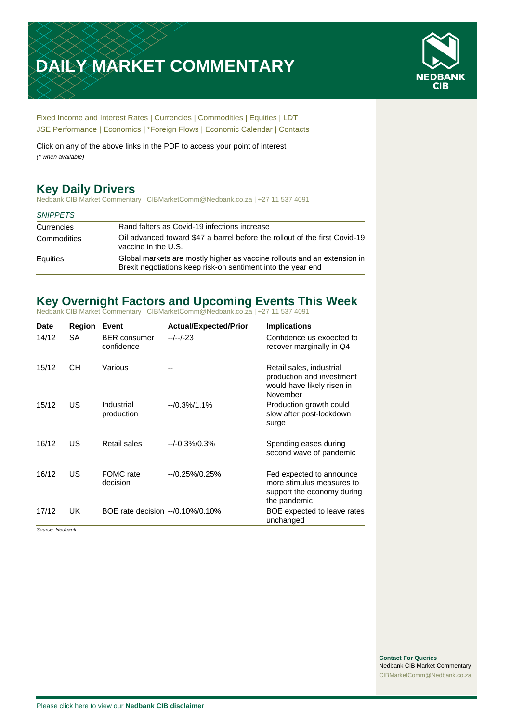# **DAILY MARKET COMMENTARY**



[Fixed Income and Interest Rates](#page-1-0) | [Currencies](#page-2-0) | [Commodities](#page-3-0) [| Equities](#page-4-0) | [LDT](#page-4-1) [JSE Performance](#page-6-0) | [Economics](#page-7-0) | [\\*Foreign Flows](#page-7-0) | [Economic Calendar](#page-7-0) | [Contacts](#page-8-0)

Click on any of the above links in the PDF to access your point of interest *(\* when available)*

# **Key Daily Drivers**

Nedbank CIB Market Commentary | CIBMarketComm@Nedbank.co.za | +27 11 537 4091

#### *SNIPPETS*

| Currencies  | Rand falters as Covid-19 infections increase                                                                                             |
|-------------|------------------------------------------------------------------------------------------------------------------------------------------|
| Commodities | Oil advanced toward \$47 a barrel before the rollout of the first Covid-19<br>vaccine in the U.S.                                        |
| Equities    | Global markets are mostly higher as vaccine rollouts and an extension in<br>Brexit negotiations keep risk-on sentiment into the year end |

# **Key Overnight Factors and Upcoming Events This Week**

Nedbank CIB Market Commentary | CIBMarketComm@Nedbank.co.za | +27 11 537 4091

| <b>Date</b> | <b>Region</b> | Event                             | <b>Actual/Expected/Prior</b> | <b>Implications</b>                                                                                 |
|-------------|---------------|-----------------------------------|------------------------------|-----------------------------------------------------------------------------------------------------|
| 14/12       | SA            | <b>BER</b> consumer<br>confidence | --/--/-23                    | Confidence us exoected to<br>recover marginally in Q4                                               |
| 15/12       | CН            | Various                           |                              | Retail sales, industrial<br>production and investment<br>would have likely risen in<br>November     |
| 15/12       | US            | Industrial<br>production          | $-10.3\%/1.1\%$              | Production growth could<br>slow after post-lockdown<br>surge                                        |
| 16/12       | US            | Retail sales                      | $-/-0.3\%/0.3\%$             | Spending eases during<br>second wave of pandemic                                                    |
| 16/12       | US            | FOMC rate<br>decision             | $-10.25\%/0.25\%$            | Fed expected to announce<br>more stimulus measures to<br>support the economy during<br>the pandemic |
| 17/12       | UK.           | BOE rate decision --/0.10%/0.10%  |                              | BOE expected to leave rates<br>unchanged                                                            |

*Source: Nedbank*

**Contact For Queries** Nedbank CIB Market Commentary [CIBMarketComm@Nedbank.co.za](file:///C:/Users/Paul-Rose/AppData/Roaming/Bluecurve/templates/CIBMarketComm@Nedbank.co.za)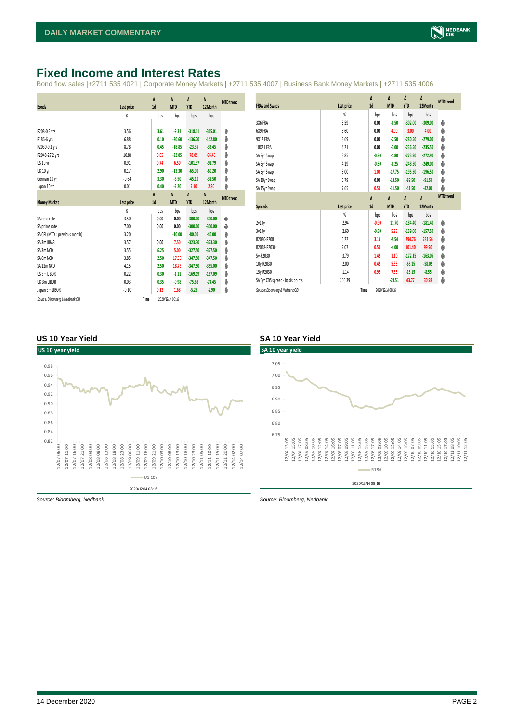# <span id="page-1-0"></span>**Fixed Income and Interest Rates**

Bond flow sales |+2711 535 4021 | Corporate Money Markets | +2711 535 4007 | Business Bank Money Markets | +2711 535 4006

|                                 |            | $\Delta$ | $\Delta$         | Δ          | Δ         | <b>MTD</b> trend |
|---------------------------------|------------|----------|------------------|------------|-----------|------------------|
| <b>Bonds</b>                    | Last price | 1d       | <b>MTD</b>       | <b>YTD</b> | 12Month   |                  |
|                                 | %          | bps      | bps              | bps        | bps       |                  |
| R208-0.3 yrs                    | 3.56       | $-3.61$  | $-9.31$          | $-318.11$  | $-315.01$ | ψ                |
| R186-6 yrs                      | 6.88       | $-0.10$  | $-20.60$         | $-136.70$  | $-142.80$ | ψ                |
| R2030-9.1 yrs                   | 8.78       | $-0.45$  | $-18.85$         | $-23.35$   | $-33.45$  | ψ                |
| R2048-27.2 yrs                  | 10.86      | 0.05     | $-22.85$         | 78.05      | 66.45     | ψ                |
| US 10 yr                        | 0.91       | 0.74     | 6.50             | $-101.37$  | $-91.79$  | Φ                |
| <b>UK 10 yr</b>                 | 0.17       | $-2.90$  | $-13.30$         | $-65.00$   | $-60.20$  | ψ                |
| German 10 yr                    | $-0.64$    | $-3.30$  | $-6.50$          | $-45.10$   | $-31.50$  | ψ                |
| Japan 10 yr                     | 0.01       | $-0.40$  | $-2.20$          | 2.10       | 2.80      | ψ                |
|                                 |            | $\Delta$ | Δ                | Δ          | Δ         | <b>MTD</b> trend |
| <b>Money Market</b>             | Last price | 1d       | <b>MTD</b>       | <b>YTD</b> | 12Month   |                  |
|                                 | %          | bps      | bps              | bps        | bps       |                  |
| SA reporate                     | 3.50       | 0.00     | 0.00             | $-300.00$  | $-300.00$ | ۰                |
| SA prime rate                   | 7.00       | 0.00     | 0.00             | $-300.00$  | $-300.00$ | ۰                |
| SA CPI (MTD = previous month)   | 3.20       |          | $-10.00$         | $-80.00$   | $-40.00$  | ψ                |
| SA 3m JIBAR                     | 3.57       | 0.00     | 7.50             | $-323.30$  | $-323.30$ | φ                |
| SA 3m NCD                       | 3.55       | $-6.25$  | 5.00             | $-327.50$  | $-327.50$ | φ                |
| SA 6m NCD                       | 3.85       | $-2.50$  | 17.50            | $-347.50$  | $-347.50$ | φ                |
| SA 12m NCD                      | 4.15       | $-2.50$  | 18.75            | $-347.50$  | $-355.00$ | φ                |
| US 3m LIBOR                     | 0.22       | $-0.30$  | $-1.11$          | $-169.19$  | $-167.09$ | ψ                |
| UK 3m LIBOR                     | 0.03       | $-0.35$  | $-0.98$          | $-75.68$   | $-74.45$  | ψ                |
| Japan 3m LIBOR                  | $-0.10$    | 0.12     | 1.68             | $-5.28$    | $-2.90$   | φ                |
| Source: Bloomberg & Nedbank CIB | Time       |          | 2020/12/14 08:16 |            |           |                  |

| <b>FRAs and Swaps</b>            | Last price | Δ<br>1d  | Δ<br><b>MTD</b>  | Δ<br><b>YTD</b> | Δ<br>12Month | <b>MTD</b> trend |
|----------------------------------|------------|----------|------------------|-----------------|--------------|------------------|
|                                  | %          | bps      | bps              | bps             | bps          |                  |
| 3X6 FRA                          | 3.59       | 0.00     | $-0.50$          | $-302.00$       | $-309.00$    | ψ                |
| 6X9 FRA                          | 3.60       | 0.00     | 4.00             | 3.00            | 4.00         | φ                |
| 9X12 FRA                         | 3.69       | 0.00     | $-2.50$          | $-280.50$       | $-279.00$    | ψ                |
| 18X21 FRA                        | 4.21       | 0.00     | $-3.00$          | $-236.50$       | $-235.50$    | Ů                |
| SA 2yr Swap                      | 3.85       | $-0.90$  | $-1.80$          | $-273.90$       | $-272.90$    | ψ                |
| SA 3yr Swap                      | 4.19       | $-0.50$  | $-8.25$          | $-248.50$       | $-249.00$    | ψ                |
| SA 5yr Swap                      | 5.00       | 1.00     | $-17.75$         | $-195.50$       | $-196.50$    | ψ                |
| SA 10yr Swap                     | 6.79       | 0.00     | $-13.50$         | $-89.50$        | $-91.50$     | ψ                |
|                                  |            |          |                  |                 |              | ψ                |
| SA 15yr Swap                     | 7.65       | 0.50     | $-11.50$         | $-41.50$        | $-42.00$     |                  |
|                                  |            | $\Delta$ | Δ                | Δ               | Δ            | <b>MTD</b> trend |
| <b>Spreads</b>                   | Last price | 1d       | <b>MTD</b>       | <b>YTD</b>      | 12Month      |                  |
|                                  | %          | bps      | bps              | bps             | bps          |                  |
| 2v10v                            | $-2.94$    | $-0.90$  | 11.70            | $-184.40$       | $-181.40$    | Φ                |
| 3v10y                            | $-2.60$    | $-0.50$  | 5.25             | $-159.00$       | $-157.50$    | φ                |
| R2030-R208                       | 5.22       | 3.16     | $-9.54$          | 294.76          | 281.56       | Ů                |
| R2048-R2030                      | 2.07       | 0.50     | $-4.00$          | 101.40          | 99.90        | Ů                |
| 5y-R2030                         | $-3.79$    | 1.45     | 1.10             | $-172.15$       | $-163.05$    | φ                |
| 10y-R2030                        | $-2.00$    | 0.45     | 5.35             | $-66.15$        | $-58.05$     | φ                |
| 15y-R2030                        | $-1.14$    | 0.95     | 7.35             | $-18.15$        | $-8.55$      | φ                |
| SA 5yr CDS spread - basis points | 205.39     |          | $-24.51$         | 43.77           | 30.98        | ψ                |
| Source: Bloomberg & Nedbank CIB  | Time       |          | 2020/12/14 08:16 |                 |              |                  |

#### **US 10 Year Yield SA 10 Year Yield**



2020/12/14 08:16



*Source: Bloomberg, Nedbank Source: Bloomberg, Nedbank*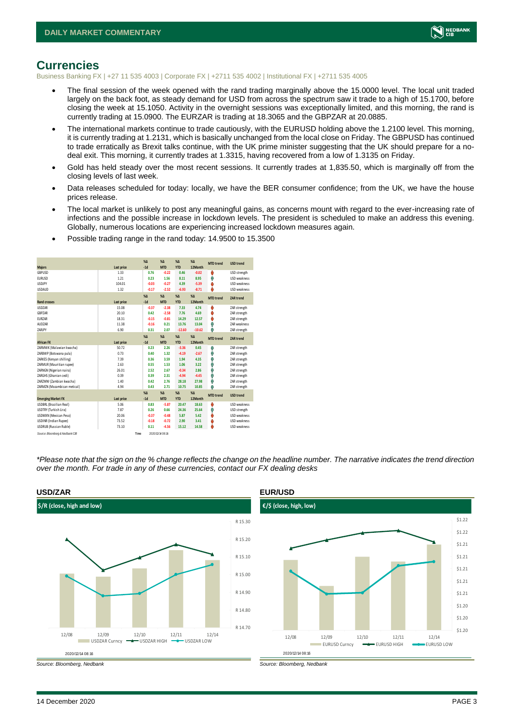

### <span id="page-2-0"></span>**Currencies**

Business Banking FX | +27 11 535 4003 | Corporate FX | +2711 535 4002 | Institutional FX | +2711 535 4005

- The final session of the week opened with the rand trading marginally above the 15.0000 level. The local unit traded largely on the back foot, as steady demand for USD from across the spectrum saw it trade to a high of 15.1700, before closing the week at 15.1050. Activity in the overnight sessions was exceptionally limited, and this morning, the rand is currently trading at 15.0900. The EURZAR is trading at 18.3065 and the GBPZAR at 20.0885.
- The international markets continue to trade cautiously, with the EURUSD holding above the 1.2100 level. This morning, it is currently trading at 1.2131, which is basically unchanged from the local close on Friday. The GBPUSD has continued to trade erratically as Brexit talks continue, with the UK prime minister suggesting that the UK should prepare for a nodeal exit. This morning, it currently trades at 1.3315, having recovered from a low of 1.3135 on Friday.
- Gold has held steady over the most recent sessions. It currently trades at 1,835.50, which is marginally off from the closing levels of last week.
- Data releases scheduled for today: locally, we have the BER consumer confidence; from the UK, we have the house prices release.
- The local market is unlikely to post any meaningful gains, as concerns mount with regard to the ever-increasing rate of infections and the possible increase in lockdown levels. The president is scheduled to make an address this evening. Globally, numerous locations are experiencing increased lockdown measures again.
- Possible trading range in the rand today: 14.9500 to 15.3500

| <b>Majors</b>                   | Last price | $X\Delta$<br>$-1d$ | $X\Lambda$<br><b>MTD</b> | $X\Lambda$<br><b>YTD</b> | $% \Delta$<br>12Month | <b>MTD</b> trend | <b>USD trend</b>    |
|---------------------------------|------------|--------------------|--------------------------|--------------------------|-----------------------|------------------|---------------------|
| GBPUSD                          | 1.33       | 0.76               | $-0.22$                  | 0.46                     | $-0.02$               | O                | USD strength        |
| <b>EURUSD</b>                   | 1.21       | 0.23               | 1.56                     | 8.11                     | 8.95                  | Φ                | <b>USD</b> weakness |
| <b>USDJPY</b>                   | 104.01     | $-0.03$            | $-0.27$                  | 4.39                     | $-5.39$               | O                | <b>USD</b> weakness |
| <b>USDAUD</b>                   | 1.32       | $-0.17$            | $-2.52$                  | $-6.93$                  | $-8.71$               | O                | USD weakness        |
|                                 |            | X <sub>A</sub>     | $\chi_{\Delta}$          | $X\Delta$                | $% \Delta$            | <b>MTD</b> trend | <b>ZAR trend</b>    |
| <b>Rand crosses</b>             | Last price | $-1d$              | <b>MTD</b>               | <b>YTD</b>               | 12 Month              |                  |                     |
| <b>USDZAR</b>                   | 15.08      | $-0.37$            | $-2.38$                  | 7.33                     | 4.74                  | O                | ZAR strength        |
| GBPZAR                          | 20.10      | 0.42               | $-2.58$                  | 7.76                     | 4.69                  | O                | ZAR strength        |
| EURZAR                          | 18.31      | $-0.15$            | $-0.81$                  | 14.29                    | 12.57                 | O                | ZAR strength        |
| AUDZAR                          | 11.38      | $-0.16$            | 0.21                     | 13.76                    | 13.04                 | Φ                | <b>7AR</b> weakness |
| ZARJPY                          | 6.90       | 0.31               | 2.07                     | $-12.60$                 | $-10.62$              | Φ                | ZAR strength        |
|                                 |            | X <sub>A</sub>     | $X\Lambda$               | $\%$ $\Lambda$           | $% \Delta$            | <b>MTD</b> trend | <b>ZAR trend</b>    |
| <b>African FX</b>               | Last price | $-1d$              | <b>MTD</b>               | <b>YTD</b>               | 12 Month              |                  |                     |
| ZARMWK (Malawian kwacha)        | 50.72      | 0.23               | 2.26                     | $-3.36$                  | 0.45                  | Φ                | ZAR strength        |
| ZARBWP (Botswana pula)          | 0.73       | 0.40               | 1.32                     | $-4.19$                  | $-2.67$               | Φ                | ZAR strength        |
| ZARKES (Kenyan shilling)        | 7.39       | 0.36               | 3.59                     | 1.94                     | 4.35                  | Φ                | ZAR strength        |
| ZARMUR (Mauritian rupee)        | 2.63       | 0.55               | 1.53                     | 1.06                     | 3.22                  | Φ                | ZAR strength        |
| ZARNGN (Nigerian naira)         | 26.01      | 2.52               | 2.67                     | $-0.34$                  | 2.86                  | Φ                | ZAR strength        |
| ZARGHS (Ghanian cedi)           | 0.39       | 0.39               | 2.31                     | $-4.94$                  | $-4.45$               | Φ                | ZAR strength        |
| ZARZMW (Zambian kwacha)         | 1.40       | 0.42               | 2.76                     | 28.18                    | 27.98                 | Φ                | ZAR strength        |
| ZARMZN (Mozambican metical)     | 4.94       | 0.43               | 2.71                     | 10.75                    | 10.85                 | Φ                | ZAR strength        |
|                                 |            | X <sub>A</sub>     | $X\Lambda$               | $\%$ $\Lambda$           | %                     | <b>MTD</b> trend | <b>USD trend</b>    |
| <b>Emerging Market FX</b>       | Last price | $-1d$              | <b>MTD</b>               | <b>YTD</b>               | 12 Month              |                  |                     |
| USDBRL (Brazilian Real)         | 5.06       | 0.83               | $-5.87$                  | 20.47                    | 18.63                 | O                | USD weakness        |
| <b>USDTRY (Turkish Lira)</b>    | 7.87       | 0.26               | 0.66                     | 24.36                    | 25.64                 | Ŵ                | USD strength        |
| <b>USDMXN (Mexican Peso)</b>    | 20.06      | $-0.37$            | $-0.48$                  | 5.87                     | 5.42                  | ŵ                | <b>USD</b> weakness |
| <b>USDINR</b> (Indian Rupee)    | 73.52      | $-0.18$            | $-0.72$                  | 2.90                     | 3.41                  | O                | <b>USD</b> weakness |
| <b>USDRUB</b> (Russian Ruble)   | 73.10      | 0.11               | $-4.56$                  | 15.12                    | 14.58                 | ٥                | <b>USD</b> weakness |
| Source: Bloomberg & Nedbank CIB | Time       |                    | 2020/12/14 08:16         |                          |                       |                  |                     |

*\*Please note that the sign on the % change reflects the change on the headline number. The narrative indicates the trend direction over the month. For trade in any of these currencies, contact our FX dealing desks*





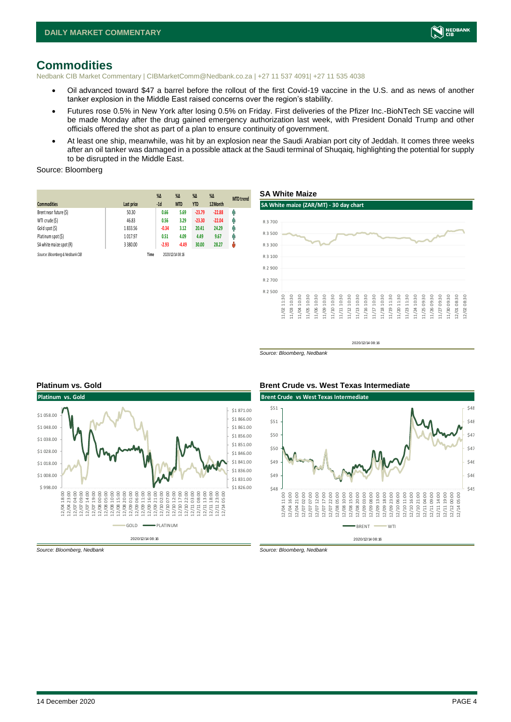

## <span id="page-3-0"></span>**Commodities**

Nedbank CIB Market Commentary | CIBMarketComm@Nedbank.co.za | +27 11 537 4091| +27 11 535 4038

- Oil advanced toward \$47 a barrel before the rollout of the first Covid-19 vaccine in the U.S. and as news of another tanker explosion in the Middle East raised concerns over the region's stability.
- Futures rose 0.5% in New York after losing 0.5% on Friday. First deliveries of the Pfizer Inc.-BioNTech SE vaccine will be made Monday after the drug gained emergency authorization last week, with President Donald Trump and other officials offered the shot as part of a plan to ensure continuity of government.
- At least one ship, meanwhile, was hit by an explosion near the Saudi Arabian port city of Jeddah. It comes three weeks after an oil tanker was damaged in a possible attack at the Saudi terminal of Shuqaiq, highlighting the potential for supply to be disrupted in the Middle East.

#### Source: Bloomberg

| <b>Commodities</b>              | Last price | $\%$ $\Delta$<br>$-1d$ | $\%$ $\Delta$<br><b>MTD</b> | $\%$ $\Delta$<br><b>YTD</b> | $\%$ $\Delta$<br>12Month | <b>MTD</b> trend |
|---------------------------------|------------|------------------------|-----------------------------|-----------------------------|--------------------------|------------------|
| Brent near future (\$)          | 50.30      | 0.66                   | 5.69                        | $-23.79$                    | $-22.88$                 | Φ                |
| WTI crude (\$)                  | 46.83      | 0.56                   | 3.29                        | $-23.30$                    | $-22.04$                 | φ                |
| Gold spot (\$)                  | 1833.56    | $-0.34$                | 3.12                        | 20.41                       | 24.29                    | φ                |
| Platinum spot (\$)              | 1017.97    | 0.51                   | 4.09                        | 4.49                        | 9.67                     | Ŵ                |
| SA white maize spot (R)         | 3 3 8 0.00 | $-2.93$                | $-4.49$                     | 30.00                       | 28.27                    | ŵ                |
| Source: Bloomberg & Nedbank CIB | Time       |                        | 2020/12/14 08:16            |                             |                          |                  |



2020/12/14 08:16

*Source: Bloomberg, Nedbank*



#### **Platinum vs. Gold Brent Crude vs. West Texas Intermediate**



*Source: Bloomberg, Nedbank Source: Bloomberg, Nedbank*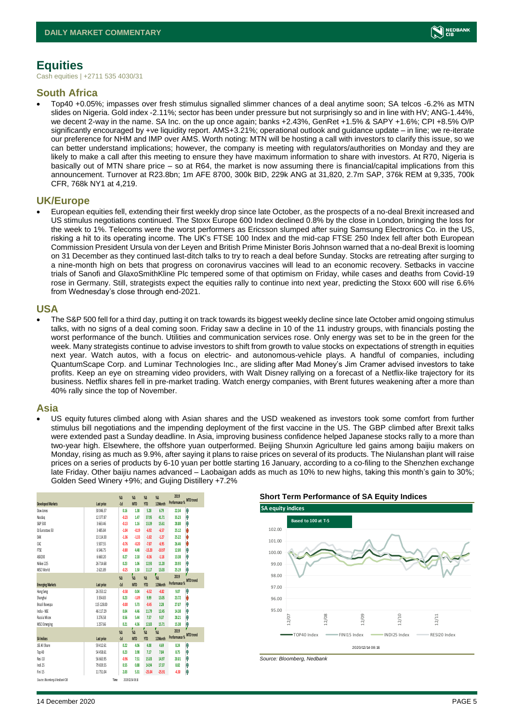

# <span id="page-4-1"></span><span id="page-4-0"></span>**Equities**

Cash equities | +2711 535 4030/31

#### **South Africa**

• Top40 +0.05%; impasses over fresh stimulus signalled slimmer chances of a deal anytime soon; SA telcos -6.2% as MTN slides on Nigeria. Gold index -2.11%; sector has been under pressure but not surprisingly so and in line with HV; ANG-1.44%, we decent 2-way in the name. SA Inc. on the up once again; banks +2.43%, GenRet +1.5% & SAPY +1.6%; CPI +8.5% O/P significantly encouraged by +ve liquidity report. AMS+3.21%; operational outlook and guidance update – in line; we re-iterate our preference for NHM and IMP over AMS. Worth noting: MTN will be hosting a call with investors to clarify this issue, so we can better understand implications; however, the company is meeting with regulators/authorities on Monday and they are likely to make a call after this meeting to ensure they have maximum information to share with investors. At R70, Nigeria is basically out of MTN share price – so at R64, the market is now assuming there is financial/capital implications from this announcement. Turnover at R23.8bn; 1m AFE 8700, 300k BID, 229k ANG at 31,820, 2.7m SAP, 376k REM at 9,335, 700k CFR, 768k NY1 at 4,219.

#### **UK/Europe**

• European equities fell, extending their first weekly drop since late October, as the prospects of a no-deal Brexit increased and US stimulus negotiations continued. The Stoxx Europe 600 Index declined 0.8% by the close in London, bringing the loss for the week to 1%. Telecoms were the worst performers as Ericsson slumped after suing Samsung Electronics Co. in the US, risking a hit to its operating income. The UK's FTSE 100 Index and the mid-cap FTSE 250 Index fell after both European Commission President Ursula von der Leyen and British Prime Minister Boris Johnson warned that a no-deal Brexit is looming on 31 December as they continued last-ditch talks to try to reach a deal before Sunday. Stocks are retreating after surging to a nine-month high on bets that progress on coronavirus vaccines will lead to an economic recovery. Setbacks in vaccine trials of Sanofi and GlaxoSmithKline Plc tempered some of that optimism on Friday, while cases and deaths from Covid-19 rose in Germany. Still, strategists expect the equities rally to continue into next year, predicting the Stoxx 600 will rise 6.6% from Wednesday's close through end-2021.

#### **USA**

• The S&P 500 fell for a third day, putting it on track towards its biggest weekly decline since late October amid ongoing stimulus talks, with no signs of a deal coming soon. Friday saw a decline in 10 of the 11 industry groups, with financials posting the worst performance of the bunch. Utilities and communication services rose. Only energy was set to be in the green for the week. Many strategists continue to advise investors to shift from growth to value stocks on expectations of strength in equities next year. Watch autos, with a focus on electric- and autonomous-vehicle plays. A handful of companies, including QuantumScape Corp. and Luminar Technologies Inc., are sliding after Mad Money's Jim Cramer advised investors to take profits. Keep an eye on streaming video providers, with Walt Disney rallying on a forecast of a Netflix-like trajectory for its business. Netflix shares fell in pre-market trading. Watch energy companies, with Brent futures weakening after a more than 40% rally since the top of November.

#### **Asia**

• US equity futures climbed along with Asian shares and the USD weakened as investors took some comfort from further stimulus bill negotiations and the impending deployment of the first vaccine in the US. The GBP climbed after Brexit talks were extended past a Sunday deadline. In Asia, improving business confidence helped Japanese stocks rally to a more than two-year high. Elsewhere, the offshore yuan outperformed. Beijing Shunxin Agriculture led gains among baijiu makers on Monday, rising as much as 9.9%, after saying it plans to raise prices on several of its products. The Niulanshan plant will raise prices on a series of products by 6-10 yuan per bottle starting 16 January, according to a co-filing to the Shenzhen exchange late Friday. Other baijiu names advanced – Laobaigan adds as much as 10% to new highs, taking this month's gain to 30%; Golden Seed Winery +9%; and Gujing Distillery +7.2%

|                                 |              |      | %A            | %A                 | %A             | $\frac{4}{3}$      | 2019                    |                  |
|---------------------------------|--------------|------|---------------|--------------------|----------------|--------------------|-------------------------|------------------|
| <b>Developed Markets</b>        | Last price   |      | $-1d$         | <b>MTD</b>         | <b>YTD</b>     | 12Month            | Performance % MTD trend |                  |
| Dow Jones                       | 30 046 37    |      | 0.16          | 138                | 5.28           | 6.79               | 22.34                   | Ą                |
| Nasdao                          | 12377.87     |      | $-0.23$       | 1.47               | 37.95          | 41.71              | 35.23                   | Ŵ                |
| S&P 500                         | 3 663.46     |      | $-0.13$       | 1.16               | 13.39          | 15.61              | 28.88                   | Ą                |
| DJ Furostoxx 50                 | 3 485.84     |      | $-1.04$       | $-0.19$            | $-6.92$        | $-6.57$            | 25.12                   | Ů                |
| DAX                             | 13 114.30    |      | $-1.36$       | $-1.33$            | $-1.02$        | $-1.27$            | 25.22                   | Ů                |
| CAC                             | 5 507.55     |      | $-0.76$       | $-0.20$            | $-7.87$        | $-6.95$            | 26.46                   | Ů                |
| FTSE                            | 6546.75      |      | $-0.80$       | 4.48               | $-13.20$       | $-10.97$           | 12.00                   | Ą                |
| ASX200                          | 6 660.20     |      | 0.27          | 2.18               | $-0.36$        | $-1.18$            | 13.38                   | Ŵ                |
| Nikkei 225                      | 26 714.68    |      | 0.23          | 1.06               | 12.93          | 11.20              | 20.93                   | Ą                |
| MSCI World                      | 2621.89      |      | $-0.25$       | 1.50               | 11.17          | 13.03              | 25.19                   | Ą                |
|                                 |              |      | $\frac{4}{3}$ | 7<br>$\frac{1}{2}$ | %              | V<br>$\frac{4}{3}$ | 2019                    |                  |
| <b>Emerging Markets</b>         | Last price   |      | $-1d$         | <b>MTD</b>         | <b>YTD</b>     | 12Month            | Performance %           | <b>MTD</b> trend |
| Hang Seng                       | 26 35 3.12   |      | $-0.58$       | 0.04               | $-6.52$        | $-4.82$            | 9.07                    | Ą                |
| Shanghai                        | 3 3 5 4 .8 3 |      | 0.23          | $-1.09$            | 9.99           | 13.05              | 23.72                   | Ů                |
| Brazil Bovespa                  | 115 128.00   |      | $-0.00$       | 5.73               | $-0.45$        | 2.28               | 27.07                   | Ŵ                |
| India - NSE                     | 46 117 29    |      | 0.04          | 4.46               | 11.79          | 12.45              | 14.38                   | Ŵ                |
| <b>Russia Micex</b>             | 3 27 6.58    |      | 0.56          | 5.44               | 7.57           | 937                | 28.21                   | Ą                |
| <b>MSCI Emerging</b>            | 1257.66      |      | 0.21          | 436                | 12.83          | 15.71              | 15.38                   | Ą                |
|                                 |              |      | $\frac{4}{3}$ | 7<br>%Д            | $\frac{1}{30}$ | $\frac{1}{30}$     | 2019                    | г                |
| <b>SA Indices</b>               | Last price   |      | $-1d$         | <b>MTD</b>         | <b>YTD</b>     | 12Month            | Performance %           | <b>MTD</b> trend |
| ISE All Share                   | 59 412.61    |      | 0.22          | 4.06               | 4.08           | 4.69               | 8.24                    | Ŵ                |
| Top 40                          | 54 458.61    |      | 0.23          | 3.98               | 7.17           | 7.84               | 8.75                    | Ŵ                |
| Resi 10                         | 56 663.95    |      | $-0.96$       | 7.51               | 15.03          | 14.97              | 20.01                   | Ŵ                |
| Indi 25                         | 79 659.55    |      | 0.55          | 0.88               | 14.94          | 17.37              | 8.82                    | Ą                |
| Fini 15                         | 11 751.04    |      | 2.03          | 531                | $-25.04$       | $-25.91$           | $-4.30$                 | Ŵ                |
| Source: Bloomberg & Nedbank CIB |              | Time |               | 2020/12/14 08:16   |                |                    |                         |                  |

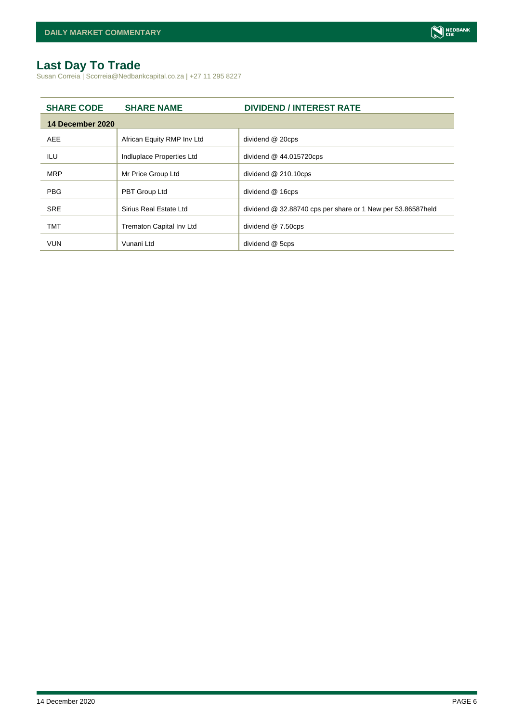# **Last Day To Trade**

Susan Correia | Scorreia@Nedbankcapital.co.za | +27 11 295 8227

| <b>SHARE CODE</b> | <b>SHARE NAME</b>          | <b>DIVIDEND / INTEREST RATE</b>                             |
|-------------------|----------------------------|-------------------------------------------------------------|
| 14 December 2020  |                            |                                                             |
| <b>AEE</b>        | African Equity RMP Inv Ltd | dividend @ 20cps                                            |
| ILU               | Indluplace Properties Ltd  | dividend $@$ 44.015720cps                                   |
| <b>MRP</b>        | Mr Price Group Ltd         | dividend @ 210.10cps                                        |
| <b>PBG</b>        | PBT Group Ltd              | dividend @ 16cps                                            |
| <b>SRE</b>        | Sirius Real Estate Ltd     | dividend @ 32.88740 cps per share or 1 New per 53.86587held |
| <b>TMT</b>        | Trematon Capital Inv Ltd   | dividend @ 7.50cps                                          |
| <b>VUN</b>        | Vunani Ltd                 | dividend @ 5cps                                             |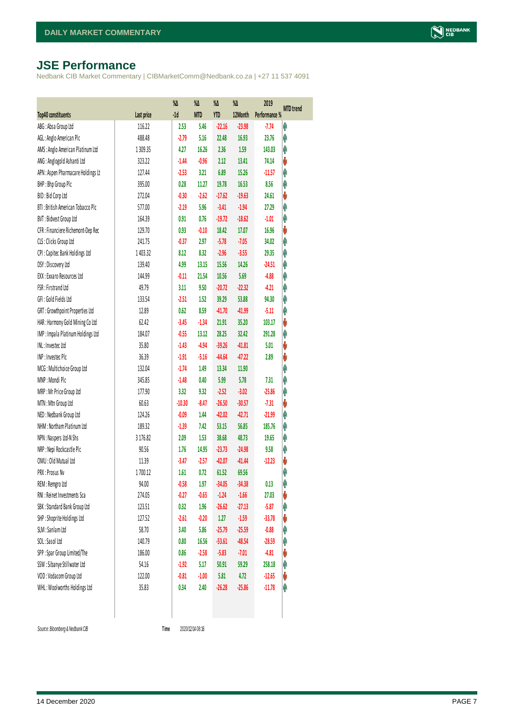# <span id="page-6-0"></span>**JSE Performance**

Nedbank CIB Market Commentary | CIBMarketComm@Nedbank.co.za | +27 11 537 4091

|                                    |            | %Δ       | %Δ         | $\%$       | %Δ       | 2019          | <b>MTD</b> trend |
|------------------------------------|------------|----------|------------|------------|----------|---------------|------------------|
| Top40 constituents                 | Last price | $-1d$    | <b>MTD</b> | <b>YTD</b> | 12Month  | Performance % |                  |
| ABG: Absa Group Ltd                | 116.22     | 2.53     | 5.46       | $-22.16$   | $-23.98$ | $-7.74$       | Ą                |
| AGL: Anglo American Plc            | 488.48     | $-2.79$  | 5.16       | 22.48      | 16.93    | 23.76         | φ                |
| AMS: Anglo American Platinum Ltd   | 1 309.35   | 4.27     | 16.26      | 2.36       | 1.59     | 143.03        | Ą                |
| ANG: Anglogold Ashanti Ltd         | 323.22     | $-1.44$  | $-0.96$    | 2.12       | 13.41    | 74.14         | V                |
| APN : Aspen Pharmacare Holdings Lt | 127.44     | $-2.53$  | 3.21       | 6.89       | 15.26    | $-11.57$      | φ                |
| BHP: Bhp Group Plc                 | 395.00     | 0.28     | 11.27      | 19.78      | 16.53    | 8.56          | Ą                |
| BID: Bid Corp Ltd                  | 272.04     | $-0.30$  | $-2.62$    | $-17.62$   | $-19.63$ | 24.61         | V                |
| BTI: British American Tobacco Plc  | 577.00     | $-2.19$  | 5.96       | $-3.41$    | $-1.94$  | 27.29         | φ                |
| BVT: Bidvest Group Ltd             | 164.39     | 0.91     | 0.76       | $-19.72$   | $-18.62$ | $-1.01$       | Ą                |
| CFR : Financiere Richemont-Dep Rec | 129.70     | 0.93     | $-0.10$    | 18.42      | 17.07    | 16.96         | V                |
| CLS : Clicks Group Ltd             | 241.75     | $-0.37$  | 2.97       | $-5.78$    | $-7.05$  | 34.02         | Ą                |
| CPI: Capitec Bank Holdings Ltd     | 1 403.32   | 8.12     | 8.32       | $-2.96$    | $-3.55$  | 29.35         | Ą                |
| DSY: Discovery Ltd                 | 139.40     | 4.99     | 13.15      | 15.56      | 14.26    | $-24.51$      | Ą                |
| EXX: Exxaro Resources Ltd          | 144.99     | $-0.11$  | 21.54      | 10.56      | 5.69     | $-4.88$       | Ą                |
| FSR: Firstrand Ltd                 | 49.79      | 3.11     | 9.50       | $-20.72$   | $-22.32$ | $-4.21$       | Ą                |
| GFI: Gold Fields Ltd               | 133.54     | $-2.51$  | 1.52       | 39.29      | 53.88    | 94.30         | Ą                |
| GRT: Growthpoint Properties Ltd    | 12.89      | 0.62     | 8.59       | $-41.70$   | $-41.99$ | $-5.11$       | Ą                |
| HAR: Harmony Gold Mining Co Ltd    | 62.42      | $-3.45$  | $-1.34$    | 21.91      | 35.20    | 103.17        | V                |
| IMP: Impala Platinum Holdings Ltd  | 184.07     | $-0.55$  | 13.12      | 28.25      | 32.42    | 291.28        | Ą                |
| INL: Investec Ltd                  | 35.80      | $-1.43$  | $-4.94$    | $-39.26$   | $-41.81$ | 5.01          | V                |
| INP: Invested Plc                  | 36.39      | $-1.91$  | $-5.16$    | $-44.64$   | $-47.22$ | 2.89          | V                |
| MCG: Multichoice Group Ltd         | 132.04     | $-1.74$  | 1.49       | 13.34      | 11.90    |               | Ą                |
| MNP: Mondi Plc                     | 345.85     | $-1.48$  | 0.40       | 5.99       | 5.78     | 7.31          | Ą                |
| MRP: Mr Price Group Ltd            | 177.90     | 3.32     | 9.32       | $-2.52$    | $-3.02$  | $-25.86$      | Ą                |
| MTN: Mtn Group Ltd                 | 60.63      | $-10.30$ | $-8.47$    | $-26.50$   | $-30.57$ | $-7.31$       | V                |
| NED: Nedbank Group Ltd             | 124.26     | $-0.09$  | 1.44       | $-42.02$   | $-42.71$ | $-21.99$      | φ                |
| NHM: Northam Platinum Ltd          | 189.32     | $-1.39$  | 7.42       | 53.15      | 56.85    | 185.76        | φ                |
| NPN: Naspers Ltd-N Shs             | 3 176.82   | 2.09     | 1.53       | 38.68      | 48.73    | 19.65         | Λ                |
| NRP : Nepi Rockcastle Plc          | 90.56      | 1.76     | 14.95      | $-23.73$   | $-24.98$ | 9.58          | φ                |
| OMU: Old Mutual Ltd                | 11.39      | $-3.47$  | $-2.57$    | $-42.07$   | $-41.44$ | $-12.23$      | V                |
| PRX: Prosus Nv                     | 1700.12    | 1.61     | 0.72       | 61.52      | 69.56    |               | Ą                |
| REM : Remgro Ltd                   | 94.00      | $-0.58$  | 1.97       | $-34.05$   | $-34.38$ | 0.13          | f                |
| RNI : Reinet Investments Sca       | 274.05     | $-0.27$  | $-0.65$    | $-1.24$    | $-1.66$  | 27.03         | V                |
| SBK: Standard Bank Group Ltd       | 123.51     | 0.32     | 1.96       | $-26.62$   | $-27.13$ | $-5.87$       | φ                |
| SHP: Shoprite Holdings Ltd         | 127.52     | $-2.61$  | $-0.20$    | 1.27       | $-1.59$  | $-33.78$      | V                |
| SLM : Sanlam Ltd                   | 58.70      | 3.40     | 5.86       | $-25.79$   | $-25.59$ | $-0.88$       | φ                |
| SOL: Sasol Ltd                     | 140.79     | 0.80     | 16.56      | $-53.61$   | $-48.54$ | $-28.59$      | φ                |
| SPP: Spar Group Limited/The        | 186.00     | 0.86     | $-2.58$    | $-5.83$    | $-7.01$  | $-4.81$       | V                |
| SSW : Sibanye Stillwater Ltd       | 54.16      | $-1.92$  | 5.17       | 50.91      | 59.29    | 258.18        | φ                |
| VOD: Vodacom Group Ltd             | 122.00     | $-0.81$  | $-1.00$    | 5.81       | 4.72     | $-12.65$      | V                |
| WHL: Woolworths Holdings Ltd       | 35.83      | 0.34     | 2.40       | $-26.28$   | $-25.86$ | $-11.78$      | Ŵ                |
|                                    |            |          |            |            |          |               |                  |

 $Source: Bloomberg & Nedbank CB$ 

Time 2020/12/14 08:16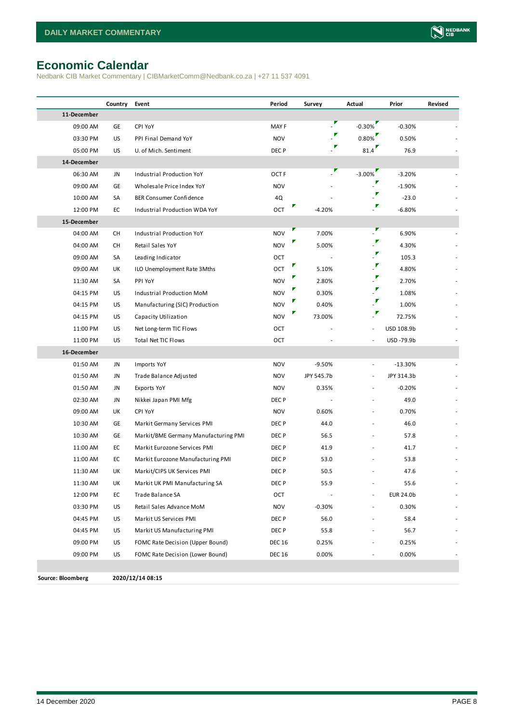# <span id="page-7-0"></span>**Economic Calendar**

Nedbank CIB Market Commentary | CIBMarketComm@Nedbank.co.za | +27 11 537 4091

|                   | Country   | Event                                | Period           | Survey                   | Actual                   | Prior      | Revised |
|-------------------|-----------|--------------------------------------|------------------|--------------------------|--------------------------|------------|---------|
| 11-December       |           |                                      |                  |                          |                          |            |         |
| 09:00 AM          | GE        | CPI YoY                              | MAY F            | $\overline{\mathcal{F}}$ | $-0.30\%$                | $-0.30%$   |         |
| 03:30 PM          | <b>US</b> | PPI Final Demand YoY                 | <b>NOV</b>       |                          | $0.80\%$                 | 0.50%      |         |
| 05:00 PM          | US        | U. of Mich. Sentiment                | DEC P            |                          | 81.4                     | 76.9       |         |
| 14-December       |           |                                      |                  |                          |                          |            |         |
| 06:30 AM          | JN        | Industrial Production YoY            | OCT <sub>F</sub> |                          | $-3.00\%$                | $-3.20%$   |         |
| 09:00 AM          | GE        | Wholesale Price Index YoY            | <b>NOV</b>       |                          | "r                       | $-1.90%$   |         |
| 10:00 AM          | SA        | <b>BER Consumer Confidence</b>       | 4Q               |                          | $\cdot$                  | $-23.0$    |         |
| 12:00 PM          | EC        | Industrial Production WDA YoY        | OCT              | $-4.20%$                 | $\cdot^{\prime}$         | $-6.80%$   |         |
| 15-December       |           |                                      |                  |                          |                          |            |         |
| 04:00 AM          | CH        | Industrial Production YoY            | <b>NOV</b>       | 7.00%                    | P                        | 6.90%      |         |
| 04:00 AM          | CH        | Retail Sales YoY                     | <b>NOV</b>       | 5.00%                    | $\cdot^{\prime}$         | 4.30%      |         |
| 09:00 AM          | SA        | Leading Indicator                    | OCT              |                          | $\cdot^{\prime}$         | 105.3      |         |
| 09:00 AM          | UK        | ILO Unemployment Rate 3Mths          | OCT              | 5.10%                    | $\mathbb{R}$             | 4.80%      |         |
| 11:30 AM          | SA        | PPI YoY                              | <b>NOV</b>       | 2.80%                    | $\mathbb{P}$             | 2.70%      |         |
| 04:15 PM          | <b>US</b> | Industrial Production MoM            | <b>NOV</b>       | 0.30%                    |                          | 1.08%      |         |
| 04:15 PM          | US        | Manufacturing (SIC) Production       | <b>NOV</b>       | 0.40%                    |                          | 1.00%      |         |
| 04:15 PM          | US        | Capacity Utilization                 | <b>NOV</b>       | 73.00%                   | Γ                        | 72.75%     |         |
| 11:00 PM          | US        | Net Long-term TIC Flows              | OCT              |                          | $\overline{\phantom{a}}$ | USD 108.9b |         |
| 11:00 PM          | US        | <b>Total Net TIC Flows</b>           | OCT              |                          |                          | USD-79.9b  |         |
| 16-December       |           |                                      |                  |                          |                          |            |         |
| 01:50 AM          | JN        | Imports YoY                          | <b>NOV</b>       | $-9.50%$                 | $\overline{\phantom{a}}$ | $-13.30%$  |         |
| 01:50 AM          | JN        | Trade Balance Adjusted               | <b>NOV</b>       | JPY 545.7b               | $\sim$                   | JPY 314.3b |         |
| 01:50 AM          | JN        | Exports YoY                          | <b>NOV</b>       | 0.35%                    |                          | $-0.20%$   |         |
| 02:30 AM          | JN        | Nikkei Japan PMI Mfg                 | DEC P            |                          |                          | 49.0       |         |
| 09:00 AM          | UK        | CPI YoY                              | <b>NOV</b>       | 0.60%                    |                          | 0.70%      |         |
| 10:30 AM          | GE        | Markit Germany Services PMI          | DEC P            | 44.0                     |                          | 46.0       |         |
| 10:30 AM          | GE        | Markit/BME Germany Manufacturing PMI | DEC P            | 56.5                     |                          | 57.8       |         |
| 11:00 AM          | EC        | Markit Eurozone Services PMI         | DEC P            | 41.9                     |                          | 41.7       |         |
| 11:00 AM          | EC        | Markit Eurozone Manufacturing PMI    | DEC P            | 53.0                     |                          | 53.8       |         |
| 11:30 AM          | UK        | Markit/CIPS UK Services PMI          | DEC P            | 50.5                     |                          | 47.6       |         |
| 11:30 AM          | UK        | Markit UK PMI Manufacturing SA       | DEC <sub>P</sub> | 55.9                     |                          | 55.6       |         |
| 12:00 PM          | EC        | Trade Balance SA                     | OCT              |                          |                          | EUR 24.0b  |         |
| 03:30 PM          | US        | Retail Sales Advance MoM             | <b>NOV</b>       | $-0.30%$                 |                          | 0.30%      |         |
| 04:45 PM          | US        | Markit US Services PMI               | DEC P            | 56.0                     |                          | 58.4       |         |
| 04:45 PM          | US        | Markit US Manufacturing PMI          | DEC P            | 55.8                     |                          | 56.7       |         |
| 09:00 PM          | US        | FOMC Rate Decision (Upper Bound)     | DEC 16           | 0.25%                    |                          | 0.25%      |         |
| 09:00 PM          | US        | FOMC Rate Decision (Lower Bound)     | <b>DEC 16</b>    | 0.00%                    |                          | 0.00%      |         |
|                   |           |                                      |                  |                          |                          |            |         |
| Source: Bloomberg |           | 2020/12/14 08:15                     |                  |                          |                          |            |         |